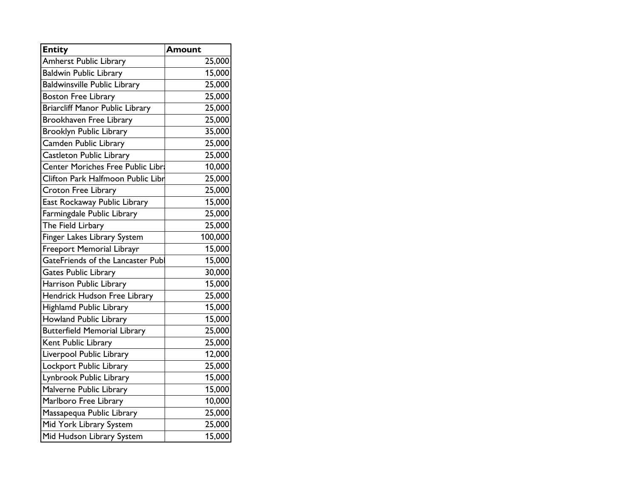| <b>Entity</b>                          | Amount  |
|----------------------------------------|---------|
| <b>Amherst Public Library</b>          | 25,000  |
| <b>Baldwin Public Library</b>          | 15,000  |
| <b>Baldwinsville Public Library</b>    | 25,000  |
| <b>Boston Free Library</b>             | 25,000  |
| <b>Briarcliff Manor Public Library</b> | 25,000  |
| Brookhaven Free Library                | 25,000  |
| <b>Brooklyn Public Library</b>         | 35,000  |
| Camden Public Library                  | 25,000  |
| <b>Castleton Public Library</b>        | 25,000  |
| Center Moriches Free Public Libra      | 10,000  |
| Clifton Park Halfmoon Public Libr      | 25,000  |
| <b>Croton Free Library</b>             | 25,000  |
| East Rockaway Public Library           | 15,000  |
| Farmingdale Public Library             | 25,000  |
| The Field Lirbary                      | 25,000  |
| Finger Lakes Library System            | 100,000 |
| Freeport Memorial Librayr              | 15,000  |
| GateFriends of the Lancaster Publ      | 15,000  |
| <b>Gates Public Library</b>            | 30,000  |
| Harrison Public Library                | 15,000  |
| Hendrick Hudson Free Library           | 25,000  |
| Highlamd Public Library                | 15,000  |
| <b>Howland Public Library</b>          | 15,000  |
| <b>Butterfield Memorial Library</b>    | 25,000  |
| Kent Public Library                    | 25,000  |
| Liverpool Public Library               | 12,000  |
| Lockport Public Library                | 25,000  |
| Lynbrook Public Library                | 15,000  |
| Malverne Public Library                | 15,000  |
| Marlboro Free Library                  | 10,000  |
| Massapequa Public Library              | 25,000  |
| Mid York Library System                | 25,000  |
| Mid Hudson Library System              | 15,000  |